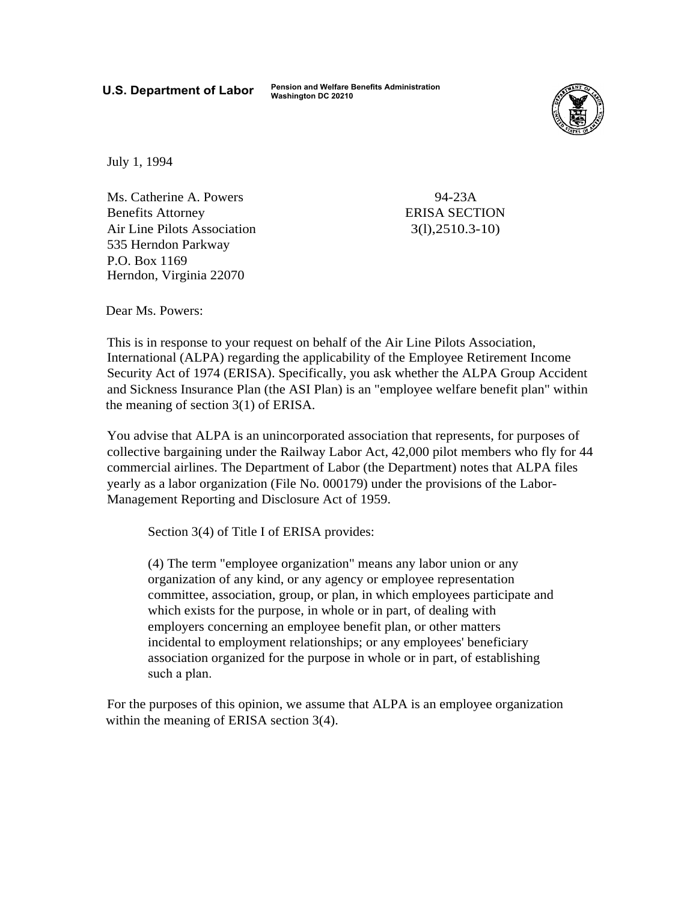**U.S. Department of Labor Pension and Welfare Benefits Administration Washington DC 20210** 



July 1, 1994

Ms. Catherine A. Powers Benefits Attorney Air Line Pilots Association 535 Herndon Parkway P.O. Box 1169 Herndon, Virginia 22070

94-23A ERISA SECTION 3(l),2510.3-10)

Dear Ms. Powers:

This is in response to your request on behalf of the Air Line Pilots Association, International (ALPA) regarding the applicability of the Employee Retirement Income Security Act of 1974 (ERISA). Specifically, you ask whether the ALPA Group Accident and Sickness Insurance Plan (the ASI Plan) is an "employee welfare benefit plan" within the meaning of section 3(1) of ERISA.

You advise that ALPA is an unincorporated association that represents, for purposes of collective bargaining under the Railway Labor Act, 42,000 pilot members who fly for 44 commercial airlines. The Department of Labor (the Department) notes that ALPA files yearly as a labor organization (File No. 000179) under the provisions of the Labor-Management Reporting and Disclosure Act of 1959.

Section 3(4) of Title I of ERISA provides:

(4) The term "employee organization" means any labor union or any organization of any kind, or any agency or employee representation committee, association, group, or plan, in which employees participate and which exists for the purpose, in whole or in part, of dealing with employers concerning an employee benefit plan, or other matters incidental to employment relationships; or any employees' beneficiary association organized for the purpose in whole or in part, of establishing such a plan.

For the purposes of this opinion, we assume that ALPA is an employee organization within the meaning of ERISA section 3(4).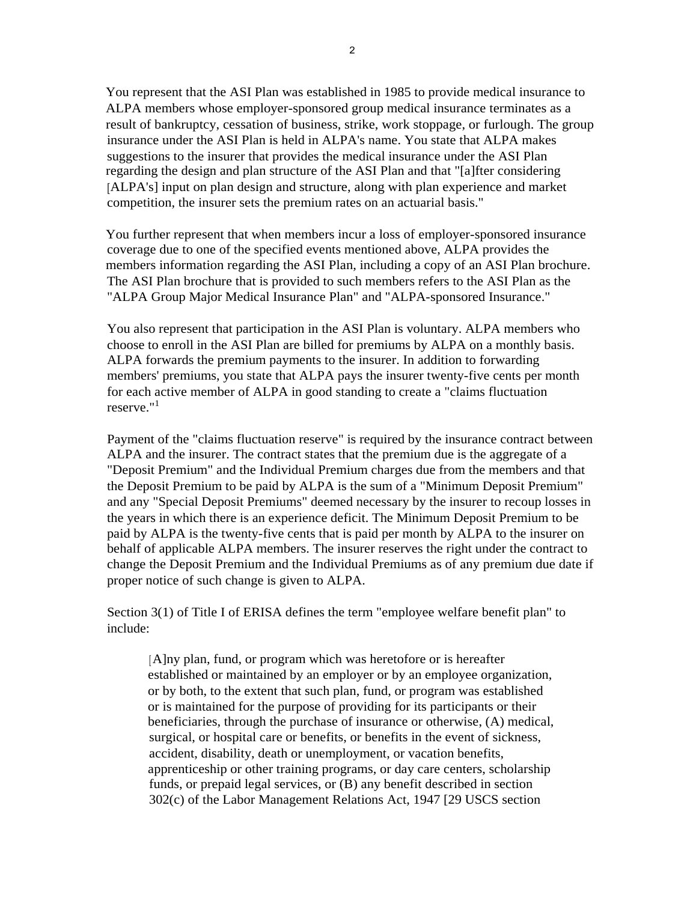You represent that the ASI Plan was established in 1985 to provide medical insurance to ALPA members whose employer-sponsored group medical insurance terminates as a result of bankruptcy, cessation of business, strike, work stoppage, or furlough. The group insurance under the ASI Plan is held in ALPA's name. You state that ALPA makes suggestions to the insurer that provides the medical insurance under the ASI Plan regarding the design and plan structure of the ASI Plan and that "[a]fter considering [ALPA's] input on plan design and structure, along with plan experience and market competition, the insurer sets the premium rates on an actuarial basis."

You further represent that when members incur a loss of employer-sponsored insurance coverage due to one of the specified events mentioned above, ALPA provides the members information regarding the ASI Plan, including a copy of an ASI Plan brochure. The ASI Plan brochure that is provided to such members refers to the ASI Plan as the "ALPA Group Major Medical Insurance Plan" and "ALPA-sponsored Insurance."

You also represent that participation in the ASI Plan is voluntary. ALPA members who choose to enroll in the ASI Plan are billed for premiums by ALPA on a monthly basis. ALPA forwards the premium payments to the insurer. In addition to forwarding members' premiums, you state that ALPA pays the insurer twenty-five cents per month for each active member of ALPA in good standing to create a "claims fluctuation reserve."[1](#page-4-0) 

Payment of the "claims fluctuation reserve" is required by the insurance contract between ALPA and the insurer. The contract states that the premium due is the aggregate of a "Deposit Premium" and the Individual Premium charges due from the members and that the Deposit Premium to be paid by ALPA is the sum of a "Minimum Deposit Premium" and any "Special Deposit Premiums" deemed necessary by the insurer to recoup losses in the years in which there is an experience deficit. The Minimum Deposit Premium to be paid by ALPA is the twenty-five cents that is paid per month by ALPA to the insurer on behalf of applicable ALPA members. The insurer reserves the right under the contract to change the Deposit Premium and the Individual Premiums as of any premium due date if proper notice of such change is given to ALPA.

Section 3(1) of Title I of ERISA defines the term "employee welfare benefit plan" to include:

[A]ny plan, fund, or program which was heretofore or is hereafter established or maintained by an employer or by an employee organization, or by both, to the extent that such plan, fund, or program was established or is maintained for the purpose of providing for its participants or their beneficiaries, through the purchase of insurance or otherwise, (A) medical, surgical, or hospital care or benefits, or benefits in the event of sickness, accident, disability, death or unemployment, or vacation benefits, apprenticeship or other training programs, or day care centers, scholarship funds, or prepaid legal services, or (B) any benefit described in section 302(c) of the Labor Management Relations Act, 1947 [29 USCS section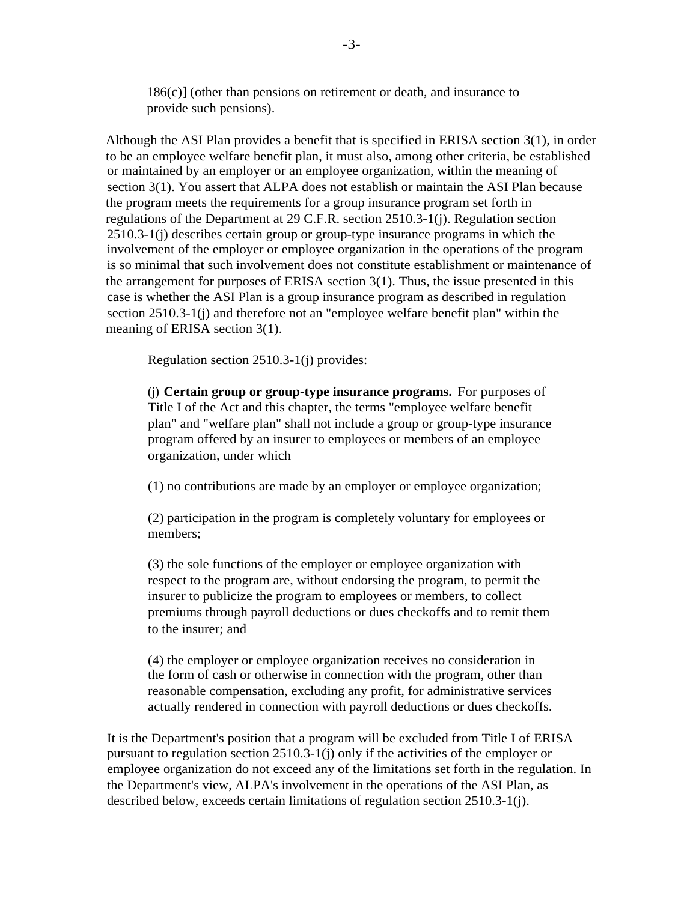186(c)] (other than pensions on retirement or death, and insurance to provide such pensions).

Although the ASI Plan provides a benefit that is specified in ERISA section 3(1), in order to be an employee welfare benefit plan, it must also, among other criteria, be established or maintained by an employer or an employee organization, within the meaning of section 3(1). You assert that ALPA does not establish or maintain the ASI Plan because the program meets the requirements for a group insurance program set forth in regulations of the Department at 29 C.F.R. section 2510.3-1(j). Regulation section 2510.3-1(j) describes certain group or group-type insurance programs in which the involvement of the employer or employee organization in the operations of the program is so minimal that such involvement does not constitute establishment or maintenance of the arrangement for purposes of ERISA section 3(1). Thus, the issue presented in this case is whether the ASI Plan is a group insurance program as described in regulation section 2510.3-1(j) and therefore not an "employee welfare benefit plan" within the meaning of ERISA section 3(1).

Regulation section 2510.3-1(j) provides:

(j) **Certain group or group-type insurance programs.** For purposes of Title I of the Act and this chapter, the terms "employee welfare benefit plan" and "welfare plan" shall not include a group or group-type insurance program offered by an insurer to employees or members of an employee organization, under which

(1) no contributions are made by an employer or employee organization;

(2) participation in the program is completely voluntary for employees or members;

(3) the sole functions of the employer or employee organization with respect to the program are, without endorsing the program, to permit the insurer to publicize the program to employees or members, to collect premiums through payroll deductions or dues checkoffs and to remit them to the insurer; and

(4) the employer or employee organization receives no consideration in the form of cash or otherwise in connection with the program, other than reasonable compensation, excluding any profit, for administrative services actually rendered in connection with payroll deductions or dues checkoffs.

It is the Department's position that a program will be excluded from Title I of ERISA pursuant to regulation section 2510.3-1(j) only if the activities of the employer or employee organization do not exceed any of the limitations set forth in the regulation. In the Department's view, ALPA's involvement in the operations of the ASI Plan, as described below, exceeds certain limitations of regulation section 2510.3-1(j).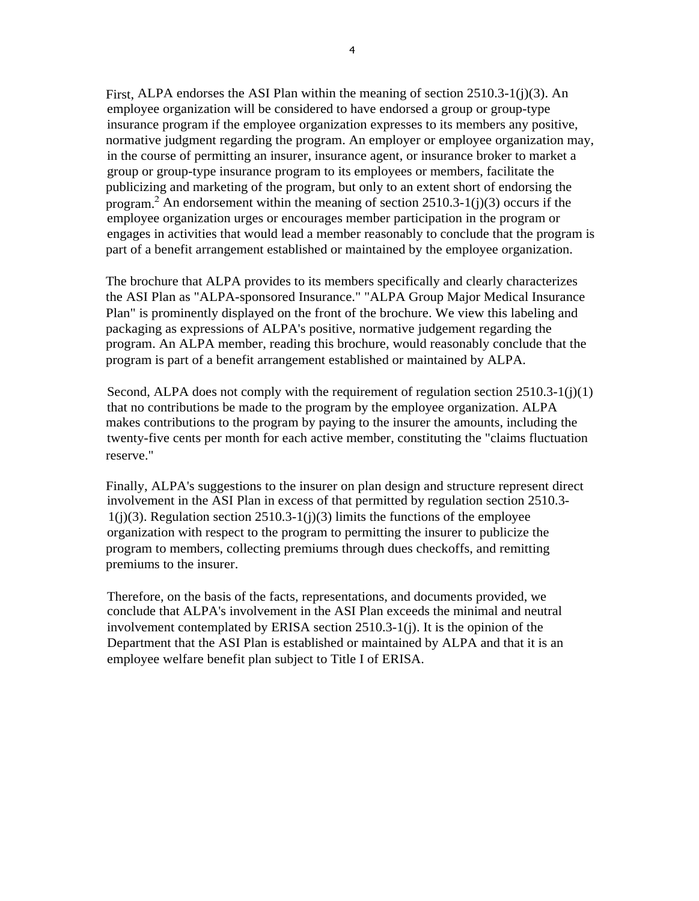First, ALPA endorses the ASI Plan within the meaning of section 2510.3-1(j)(3). An employee organization will be considered to have endorsed a group or group-type insurance program if the employee organization expresses to its members any positive, normative judgment regarding the program. An employer or employee organization may, in the course of permitting an insurer, insurance agent, or insurance broker to market a group or group-type insurance program to its employees or members, facilitate the publicizing and marketing of the program, but only to an extent short of endorsing the program.<sup>[2](#page-4-0)</sup> An endorsement within the meaning of section  $2510.3-1(j)(3)$  occurs if the employee organization urges or encourages member participation in the program or engages in activities that would lead a member reasonably to conclude that the program is part of a benefit arrangement established or maintained by the employee organization.

The brochure that ALPA provides to its members specifically and clearly characterizes the ASI Plan as "ALPA-sponsored Insurance." "ALPA Group Major Medical Insurance Plan" is prominently displayed on the front of the brochure. We view this labeling and packaging as expressions of ALPA's positive, normative judgement regarding the program. An ALPA member, reading this brochure, would reasonably conclude that the program is part of a benefit arrangement established or maintained by ALPA.

Second, ALPA does not comply with the requirement of regulation section 2510.3-1(j)(1) that no contributions be made to the program by the employee organization. ALPA makes contributions to the program by paying to the insurer the amounts, including the twenty-five cents per month for each active member, constituting the "claims fluctuation reserve."

Finally, ALPA's suggestions to the insurer on plan design and structure represent direct involvement in the ASI Plan in excess of that permitted by regulation section 2510.3  $1(j)(3)$ . Regulation section 2510.3-1(j)(3) limits the functions of the employee organization with respect to the program to permitting the insurer to publicize the program to members, collecting premiums through dues checkoffs, and remitting premiums to the insurer.

Therefore, on the basis of the facts, representations, and documents provided, we conclude that ALPA's involvement in the ASI Plan exceeds the minimal and neutral involvement contemplated by ERISA section 2510.3-1(j). It is the opinion of the Department that the ASI Plan is established or maintained by ALPA and that it is an employee welfare benefit plan subject to Title I of ERISA.